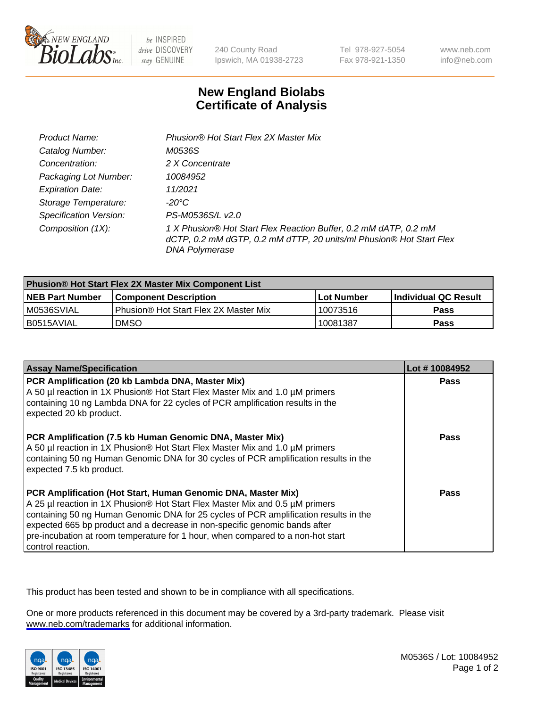

be INSPIRED drive DISCOVERY stay GENUINE

240 County Road Ipswich, MA 01938-2723 Tel 978-927-5054 Fax 978-921-1350

www.neb.com info@neb.com

## **New England Biolabs Certificate of Analysis**

| Product Name:           | Phusion® Hot Start Flex 2X Master Mix                                                                                                                     |
|-------------------------|-----------------------------------------------------------------------------------------------------------------------------------------------------------|
| Catalog Number:         | M0536S                                                                                                                                                    |
| Concentration:          | 2 X Concentrate                                                                                                                                           |
| Packaging Lot Number:   | 10084952                                                                                                                                                  |
| <b>Expiration Date:</b> | 11/2021                                                                                                                                                   |
| Storage Temperature:    | -20°C                                                                                                                                                     |
| Specification Version:  | PS-M0536S/L v2.0                                                                                                                                          |
| Composition (1X):       | 1 X Phusion® Hot Start Flex Reaction Buffer, 0.2 mM dATP, 0.2 mM<br>dCTP, 0.2 mM dGTP, 0.2 mM dTTP, 20 units/ml Phusion® Hot Start Flex<br>DNA Polymerase |

| <b>Phusion® Hot Start Flex 2X Master Mix Component List</b> |                                       |            |                             |  |
|-------------------------------------------------------------|---------------------------------------|------------|-----------------------------|--|
| <b>NEB Part Number</b>                                      | l Component Description               | Lot Number | <b>Individual QC Result</b> |  |
| M0536SVIAL                                                  | Phusion® Hot Start Flex 2X Master Mix | 10073516   | Pass                        |  |
| I B0515AVIAL                                                | <b>DMSO</b>                           | 10081387   | <b>Pass</b>                 |  |

| <b>Assay Name/Specification</b>                                                                                                                                                                                                                                                                                                                                                                                            | Lot #10084952 |
|----------------------------------------------------------------------------------------------------------------------------------------------------------------------------------------------------------------------------------------------------------------------------------------------------------------------------------------------------------------------------------------------------------------------------|---------------|
| PCR Amplification (20 kb Lambda DNA, Master Mix)<br>A 50 µl reaction in 1X Phusion® Hot Start Flex Master Mix and 1.0 µM primers<br>containing 10 ng Lambda DNA for 22 cycles of PCR amplification results in the<br>expected 20 kb product.                                                                                                                                                                               | <b>Pass</b>   |
| PCR Amplification (7.5 kb Human Genomic DNA, Master Mix)<br>A 50 µl reaction in 1X Phusion® Hot Start Flex Master Mix and 1.0 µM primers<br>containing 50 ng Human Genomic DNA for 30 cycles of PCR amplification results in the<br>expected 7.5 kb product.                                                                                                                                                               | Pass          |
| PCR Amplification (Hot Start, Human Genomic DNA, Master Mix)<br>A 25 µl reaction in 1X Phusion® Hot Start Flex Master Mix and 0.5 µM primers<br>containing 50 ng Human Genomic DNA for 25 cycles of PCR amplification results in the<br>expected 665 bp product and a decrease in non-specific genomic bands after<br>pre-incubation at room temperature for 1 hour, when compared to a non-hot start<br>control reaction. | Pass          |

This product has been tested and shown to be in compliance with all specifications.

One or more products referenced in this document may be covered by a 3rd-party trademark. Please visit <www.neb.com/trademarks>for additional information.